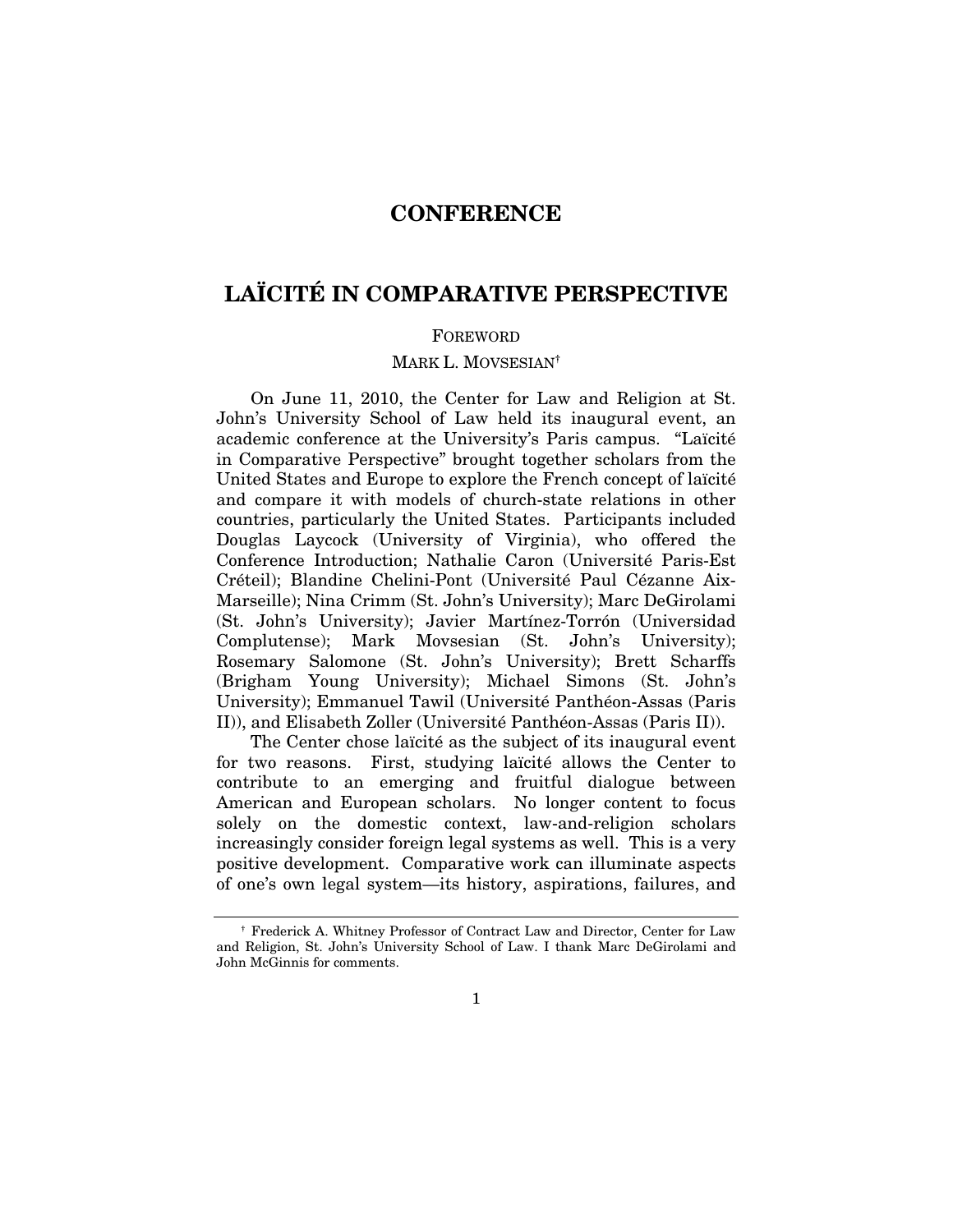# **CONFERENCE**

# LAÏCITÉ IN COMPARATIVE PERSPECTIVE

#### FOREWORD

# MARK L. MOVSESIAN†

On June 11, 2010, the Center for Law and Religion at St. John's University School of Law held its inaugural event, an academic conference at the University's Paris campus. "Laïcité in Comparative Perspective" brought together scholars from the United States and Europe to explore the French concept of laïcité and compare it with models of church-state relations in other countries, particularly the United States. Participants included Douglas Laycock (University of Virginia), who offered the Conference Introduction; Nathalie Caron (Université Paris-Est Créteil); Blandine Chelini-Pont (Université Paul Cézanne Aix-Marseille); Nina Crimm (St. John's University); Marc DeGirolami (St. John's University); Javier Martínez-Torrón (Universidad Complutense); Mark Movsesian (St. John's University); Rosemary Salomone (St. John's University); Brett Scharffs (Brigham Young University); Michael Simons (St. John's University); Emmanuel Tawil (Université Panthéon-Assas (Paris II)), and Elisabeth Zoller (Université Panthéon-Assas (Paris II)).

The Center chose laïcité as the subject of its inaugural event for two reasons. First, studying laïcité allows the Center to contribute to an emerging and fruitful dialogue between American and European scholars. No longer content to focus solely on the domestic context, law-and-religion scholars increasingly consider foreign legal systems as well. This is a very positive development. Comparative work can illuminate aspects of one's own legal system—its history, aspirations, failures, and

<sup>†</sup> Frederick A. Whitney Professor of Contract Law and Director, Center for Law and Religion, St. John's University School of Law. I thank Marc DeGirolami and John McGinnis for comments.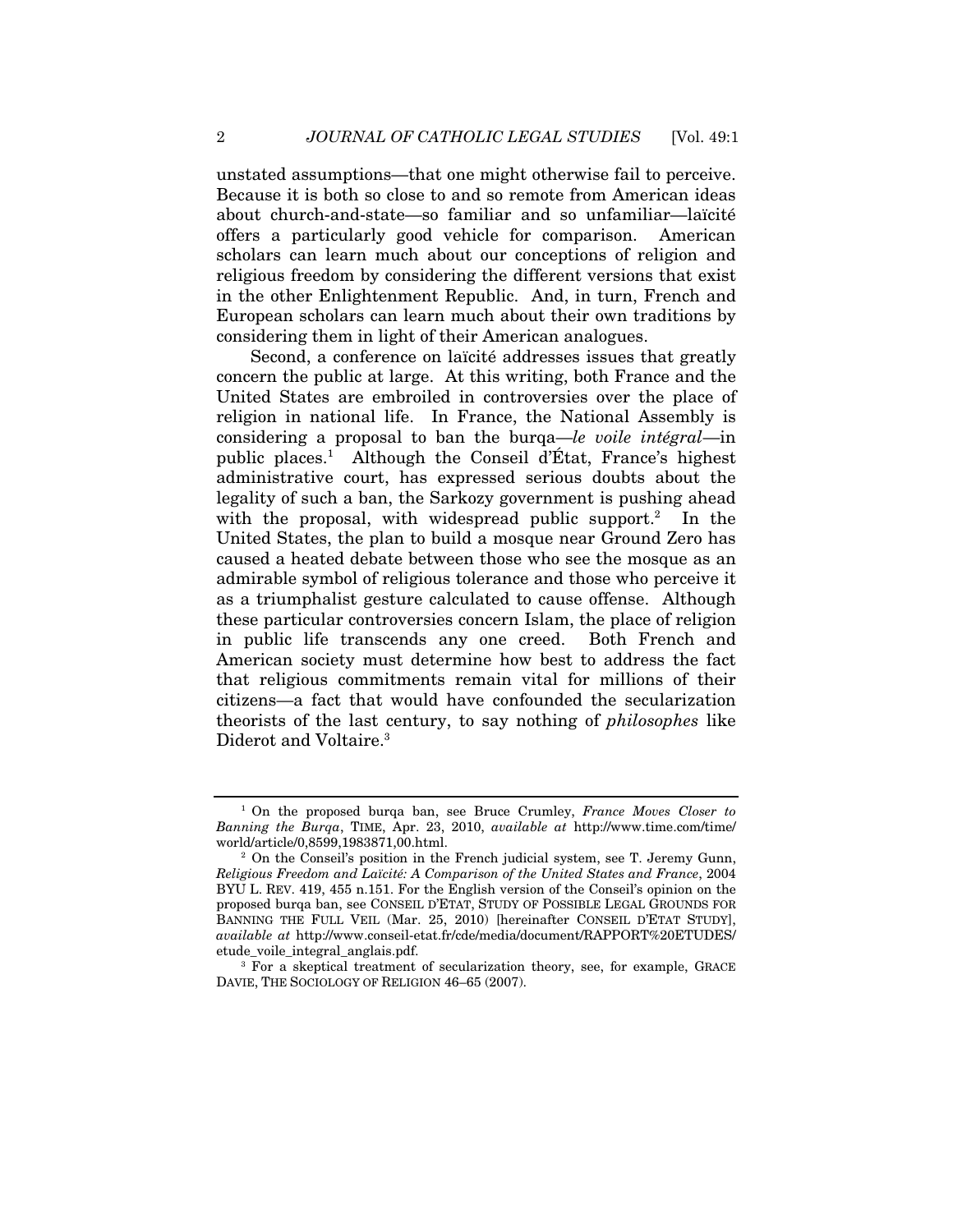unstated assumptions—that one might otherwise fail to perceive. Because it is both so close to and so remote from American ideas about church-and-state—so familiar and so unfamiliar—laïcité offers a particularly good vehicle for comparison. American scholars can learn much about our conceptions of religion and religious freedom by considering the different versions that exist in the other Enlightenment Republic. And, in turn, French and European scholars can learn much about their own traditions by considering them in light of their American analogues.

Second, a conference on laïcité addresses issues that greatly concern the public at large. At this writing, both France and the United States are embroiled in controversies over the place of religion in national life. In France, the National Assembly is considering a proposal to ban the burqa—*le voile intégral*—in public places.1 Although the Conseil d'État, France's highest administrative court, has expressed serious doubts about the legality of such a ban, the Sarkozy government is pushing ahead with the proposal, with widespread public support.<sup>2</sup> In the United States, the plan to build a mosque near Ground Zero has caused a heated debate between those who see the mosque as an admirable symbol of religious tolerance and those who perceive it as a triumphalist gesture calculated to cause offense. Although these particular controversies concern Islam, the place of religion in public life transcends any one creed. Both French and American society must determine how best to address the fact that religious commitments remain vital for millions of their citizens—a fact that would have confounded the secularization theorists of the last century, to say nothing of *philosophes* like Diderot and Voltaire.<sup>3</sup>

<sup>1</sup> On the proposed burqa ban, see Bruce Crumley, *France Moves Closer to Banning the Burqa*, TIME, Apr. 23, 2010, *available at* http://www.time.com/time/ world/article/0,8599,1983871,00.html.<br><sup>2</sup> On the Conseil's position in the French judicial system, see T. Jeremy Gunn,

*Religious Freedom and Laïcité: A Comparison of the United States and France*, 2004 BYU L. REV. 419, 455 n.151. For the English version of the Conseil's opinion on the proposed burqa ban, see CONSEIL D'ETAT, STUDY OF POSSIBLE LEGAL GROUNDS FOR BANNING THE FULL VEIL (Mar. 25, 2010) [hereinafter CONSEIL D'ETAT STUDY], *available at* http://www.conseil-etat.fr/cde/media/document/RAPPORT%20ETUDES/

etude\_voile\_integral\_anglais.pdf. 3 For a skeptical treatment of secularization theory, see, for example, GRACE DAVIE, THE SOCIOLOGY OF RELIGION 46–65 (2007).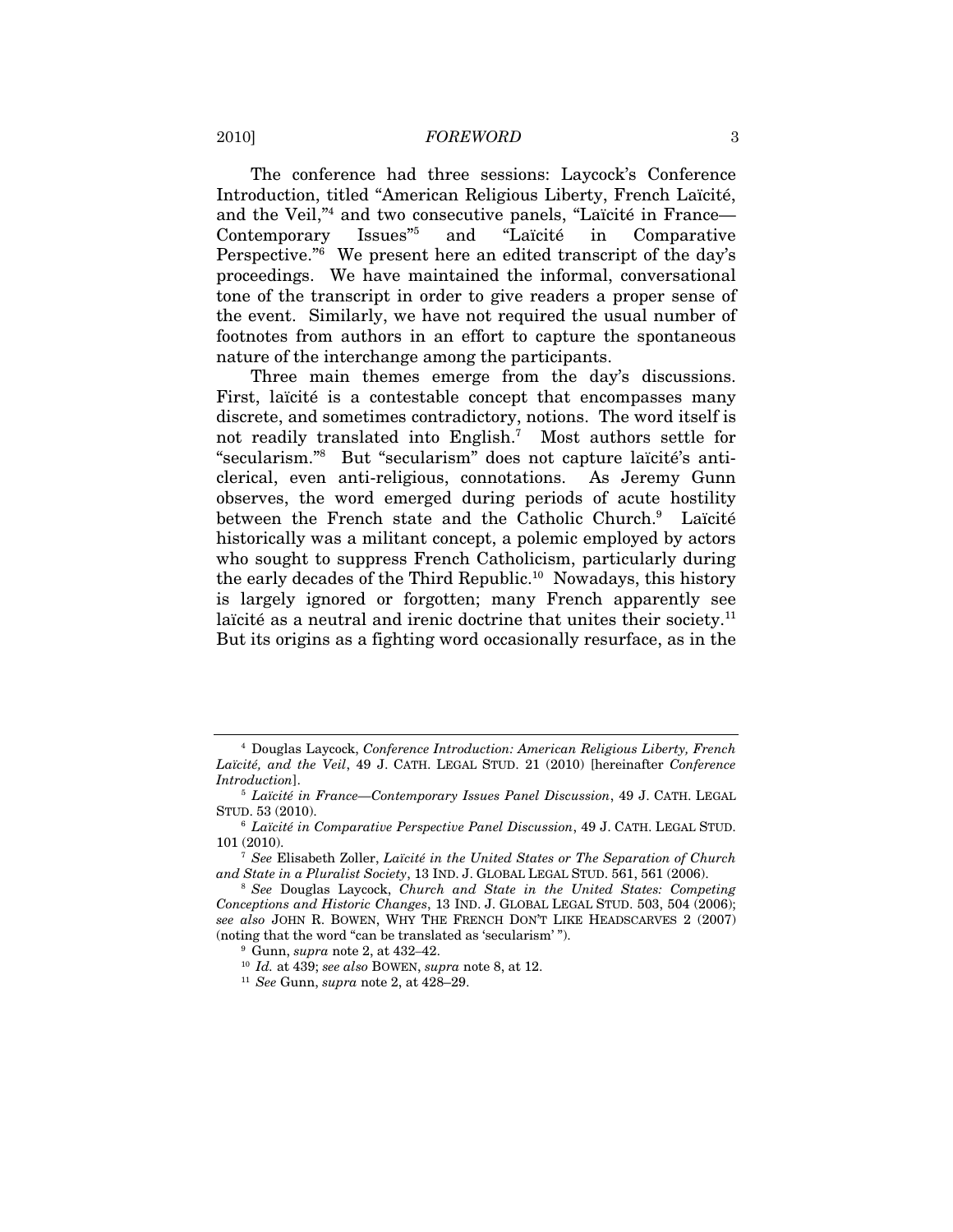The conference had three sessions: Laycock's Conference Introduction, titled "American Religious Liberty, French Laïcité, and the Veil,"4 and two consecutive panels, "Laïcité in France— Contemporary Issues"5 and "Laïcité in Comparative Perspective."<sup>6</sup> We present here an edited transcript of the day's proceedings. We have maintained the informal, conversational tone of the transcript in order to give readers a proper sense of the event. Similarly, we have not required the usual number of footnotes from authors in an effort to capture the spontaneous nature of the interchange among the participants.

Three main themes emerge from the day's discussions. First, laïcité is a contestable concept that encompasses many discrete, and sometimes contradictory, notions. The word itself is not readily translated into English.7 Most authors settle for "secularism."8 But "secularism" does not capture laïcité's anticlerical, even anti-religious, connotations. As Jeremy Gunn observes, the word emerged during periods of acute hostility between the French state and the Catholic Church.<sup>9</sup> Laïcité historically was a militant concept, a polemic employed by actors who sought to suppress French Catholicism, particularly during the early decades of the Third Republic.10 Nowadays, this history is largely ignored or forgotten; many French apparently see laïcité as a neutral and irenic doctrine that unites their society.<sup>11</sup> But its origins as a fighting word occasionally resurface, as in the

<sup>4</sup> Douglas Laycock, *Conference Introduction: American Religious Liberty, French Laïcité, and the Veil*, 49 J. CATH. LEGAL STUD. 21 (2010) [hereinafter *Conference Introduction*]. 5 *Laïcité in France—Contemporary Issues Panel Discussion*, 49 J. CATH. LEGAL

STUD. 53 (2010).

<sup>6</sup> *Laïcité in Comparative Perspective Panel Discussion*, 49 J. CATH. LEGAL STUD. 101 (2010). 7 *See* Elisabeth Zoller, *Laïcité in the United States or The Separation of Church* 

*and State in a Pluralist Society*, 13 IND. J. GLOBAL LEGAL STUD. 561, 561 (2006). 8 *See* Douglas Laycock, *Church and State in the United States: Competing* 

*Conceptions and Historic Changes*, 13 IND. J. GLOBAL LEGAL STUD. 503, 504 (2006); *see also* JOHN R. BOWEN, WHY THE FRENCH DON'T LIKE HEADSCARVES 2 (2007) (noting that the word "can be translated as 'secularism'").<br><sup>9</sup> Gunn, *supra* note 2, at 432–42.<br><sup>10</sup> Id. at 439; *see also* BOWEN, *supra* note 8, at 12.<br><sup>11</sup> See Gunn, *supra* note 2, at 428–29.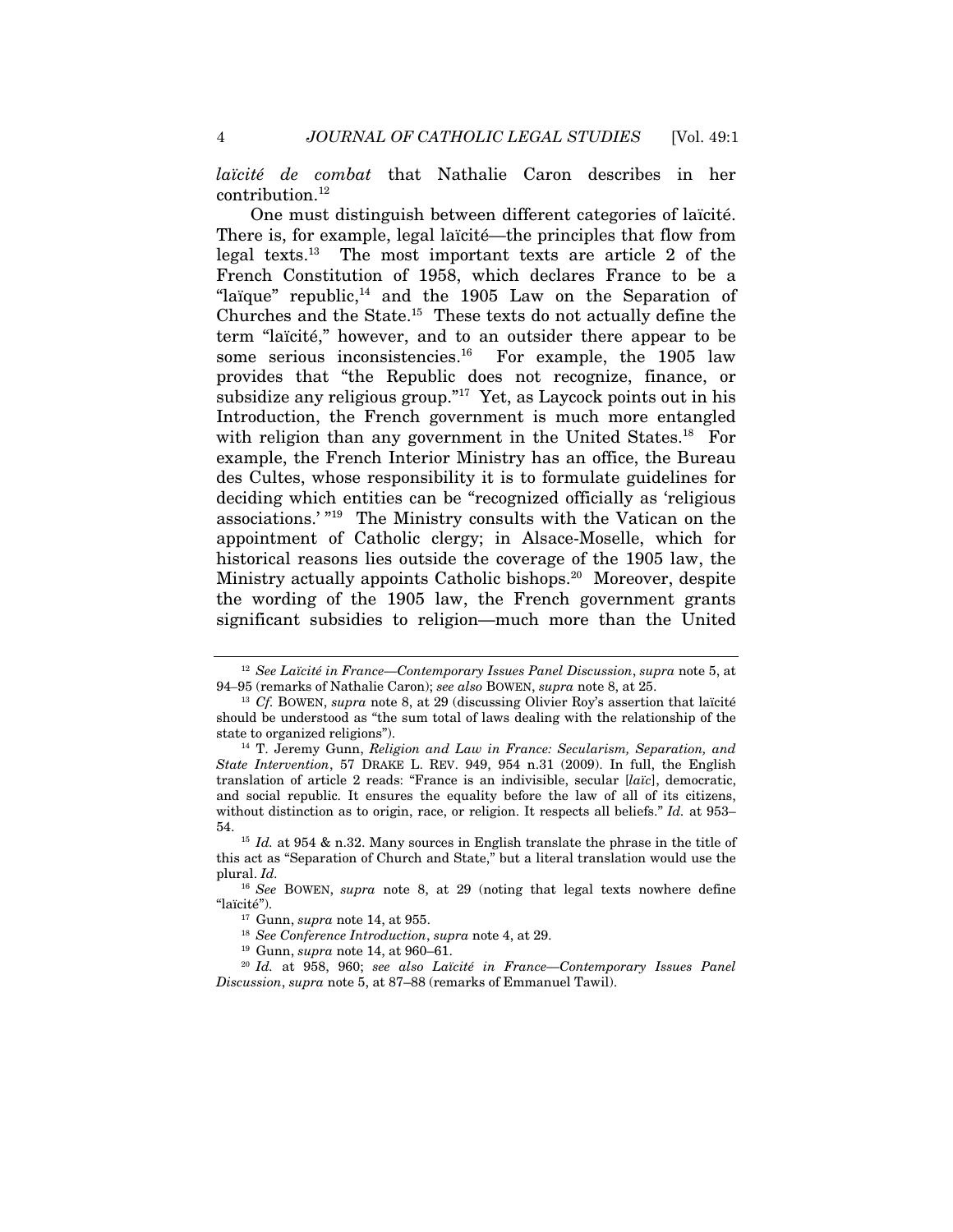*laïcité de combat* that Nathalie Caron describes in her contribution.<sup>12</sup>

One must distinguish between different categories of laïcité. There is, for example, legal laïcité—the principles that flow from legal texts.13 The most important texts are article 2 of the French Constitution of 1958, which declares France to be a "laïque" republic, $14$  and the 1905 Law on the Separation of Churches and the State.15 These texts do not actually define the term "laïcité," however, and to an outsider there appear to be some serious inconsistencies.<sup>16</sup> For example, the 1905 law provides that "the Republic does not recognize, finance, or subsidize any religious group.<sup>"17</sup> Yet, as Laycock points out in his Introduction, the French government is much more entangled with religion than any government in the United States.<sup>18</sup> For example, the French Interior Ministry has an office, the Bureau des Cultes, whose responsibility it is to formulate guidelines for deciding which entities can be "recognized officially as 'religious associations.' "19 The Ministry consults with the Vatican on the appointment of Catholic clergy; in Alsace-Moselle, which for historical reasons lies outside the coverage of the 1905 law, the Ministry actually appoints Catholic bishops.<sup>20</sup> Moreover, despite the wording of the 1905 law, the French government grants significant subsidies to religion—much more than the United

<sup>&</sup>lt;sup>12</sup> *See Laïcité in France—Contemporary Issues Panel Discussion*, *supra* note 5, at 94–95 (remarks of Nathalie Caron); *see also* BOWEN, *supra* note 8, at 25.

<sup>&</sup>lt;sup>13</sup> *Cf.* BOWEN, *supra* note 8, at 29 (discussing Olivier Roy's assertion that laïcité should be understood as "the sum total of laws dealing with the relationship of the state to organized religions"). 14 T. Jeremy Gunn, *Religion and Law in France: Secularism, Separation, and* 

*State Intervention*, 57 DRAKE L. REV. 949, 954 n.31 (2009). In full, the English translation of article 2 reads: "France is an indivisible, secular [*laïc*], democratic, and social republic. It ensures the equality before the law of all of its citizens, without distinction as to origin, race, or religion. It respects all beliefs." *Id.* at 953–

<sup>54. 15</sup> *Id.* at 954 & n.32. Many sources in English translate the phrase in the title of this act as "Separation of Church and State," but a literal translation would use the plural. *Id.* 

<sup>16</sup> *See* BOWEN, *supra* note 8, at 29 (noting that legal texts nowhere define "laïcité").<br><sup>17</sup> Gunn, *supra* note 14, at 955.<br><sup>18</sup> See Conference Introduction, *supra* note 4, at 29.<br><sup>19</sup> Gunn, *supra* note 14, at 960–61.<br><sup>20</sup> Id. at 958, 960; see also Laïcité in France—Contemporary Issues Panel

*Discussion*, *supra* note 5, at 87–88 (remarks of Emmanuel Tawil).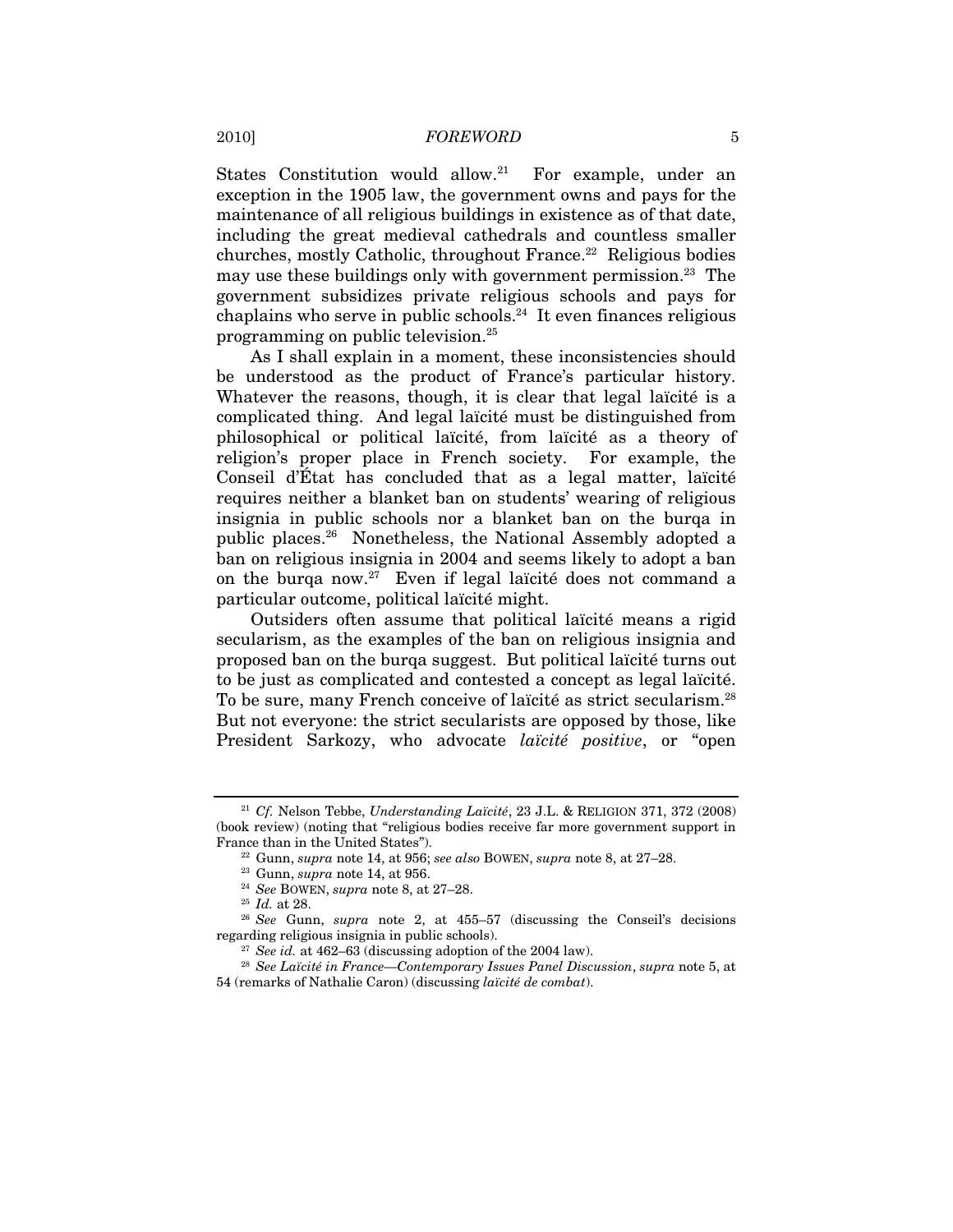States Constitution would allow.<sup>21</sup> For example, under an exception in the 1905 law, the government owns and pays for the maintenance of all religious buildings in existence as of that date, including the great medieval cathedrals and countless smaller churches, mostly Catholic, throughout France.22 Religious bodies may use these buildings only with government permission.<sup>23</sup> The government subsidizes private religious schools and pays for chaplains who serve in public schools.<sup>24</sup> It even finances religious programming on public television.25

As I shall explain in a moment, these inconsistencies should be understood as the product of France's particular history. Whatever the reasons, though, it is clear that legal laïcité is a complicated thing. And legal laïcité must be distinguished from philosophical or political laïcité, from laïcité as a theory of religion's proper place in French society. For example, the Conseil d'État has concluded that as a legal matter, laïcité requires neither a blanket ban on students' wearing of religious insignia in public schools nor a blanket ban on the burqa in public places.26 Nonetheless, the National Assembly adopted a ban on religious insignia in 2004 and seems likely to adopt a ban on the burqa now.27 Even if legal laïcité does not command a particular outcome, political laïcité might.

Outsiders often assume that political laïcité means a rigid secularism, as the examples of the ban on religious insignia and proposed ban on the burqa suggest. But political laïcité turns out to be just as complicated and contested a concept as legal laïcité. To be sure, many French conceive of laïcité as strict secularism.28 But not everyone: the strict secularists are opposed by those, like President Sarkozy, who advocate *laïcité positive*, or "open

<sup>21</sup> *Cf.* Nelson Tebbe, *Understanding Laïcité*, 23 J.L. & RELIGION 371, 372 (2008) (book review) (noting that "religious bodies receive far more government support in France than in the United States").

<sup>&</sup>lt;sup>22</sup> Gunn, *supra* note 14, at 956; *see also* BOWEN, *supra* note 8, at 27–28.<br><sup>23</sup> Gunn, *supra* note 14, at 956.<br><sup>24</sup> See BOWEN, *supra* note 8, at 27–28.<br><sup>25</sup> Id. at 28.<br><sup>26</sup> See Gunn, *supra* note 2, at 455–57 (discu regarding religious insignia in public schools). 27 *See id.* at 462–63 (discussing adoption of the 2004 law). 28 *See Laïcité in France—Contemporary Issues Panel Discussion*, *supra* note 5, at

<sup>54 (</sup>remarks of Nathalie Caron) (discussing *laïcité de combat*).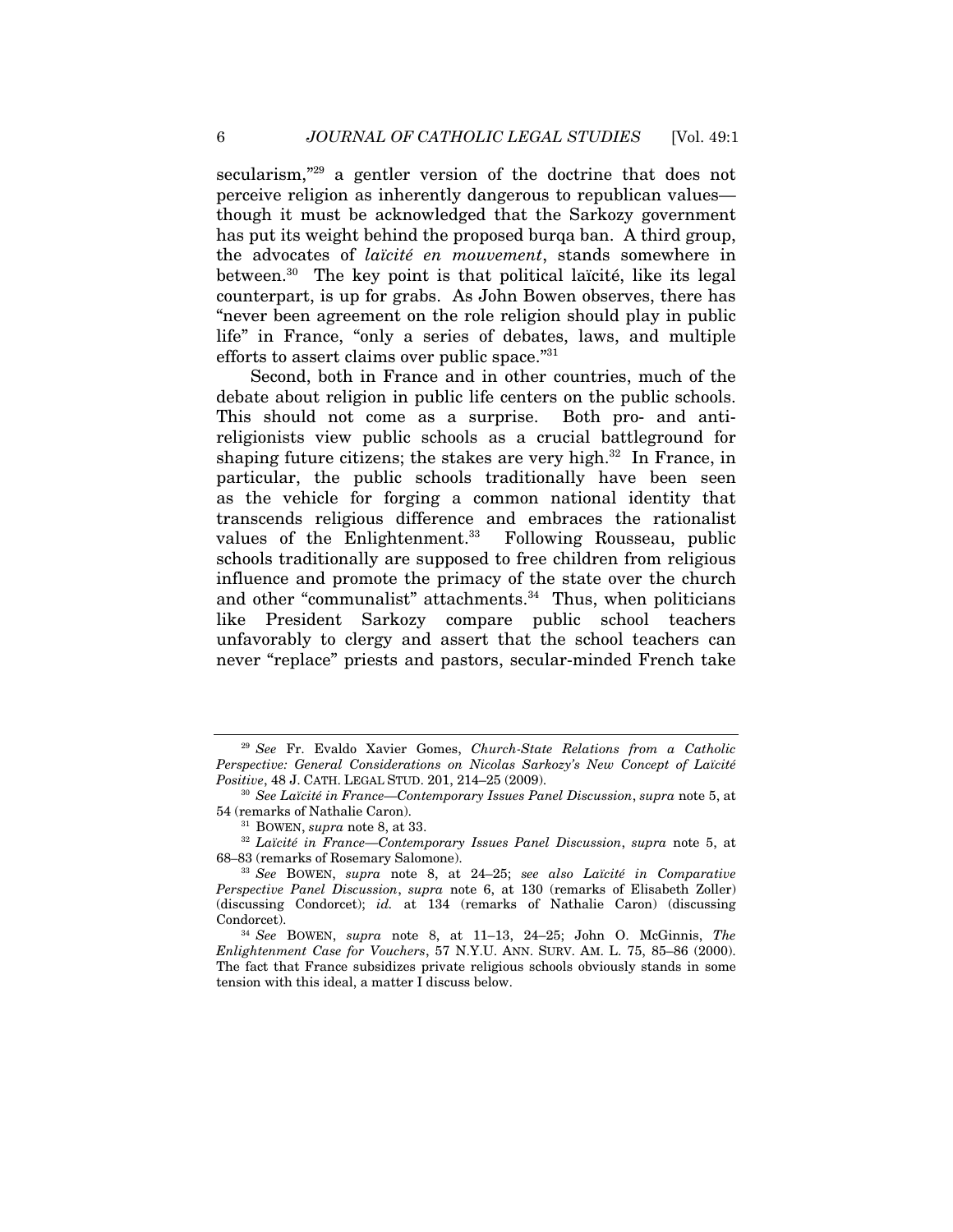secularism,<sup>"29</sup> a gentler version of the doctrine that does not perceive religion as inherently dangerous to republican values though it must be acknowledged that the Sarkozy government has put its weight behind the proposed burqa ban. A third group, the advocates of *laïcité en mouvement*, stands somewhere in between.30 The key point is that political laïcité, like its legal counterpart, is up for grabs. As John Bowen observes, there has "never been agreement on the role religion should play in public life" in France, "only a series of debates, laws, and multiple efforts to assert claims over public space."31

Second, both in France and in other countries, much of the debate about religion in public life centers on the public schools. This should not come as a surprise. Both pro- and antireligionists view public schools as a crucial battleground for shaping future citizens; the stakes are very high.<sup>32</sup> In France, in particular, the public schools traditionally have been seen as the vehicle for forging a common national identity that transcends religious difference and embraces the rationalist values of the Enlightenment.<sup>33</sup> Following Rousseau, public schools traditionally are supposed to free children from religious influence and promote the primacy of the state over the church and other "communalist" attachments. $34$  Thus, when politicians like President Sarkozy compare public school teachers unfavorably to clergy and assert that the school teachers can never "replace" priests and pastors, secular-minded French take

<sup>29</sup> *See* Fr. Evaldo Xavier Gomes, *Church-State Relations from a Catholic Perspective: General Considerations on Nicolas Sarkozy's New Concept of Laïcité* 

*Positive*, 48 J. CATH. LEGAL STUD. 201, 214–25 (2009).<br><sup>30</sup> *See Laïcité in France—Contemporary Issues Panel Discussion*, *supra* note 5, at 54 (remarks of Nathalie Caron).

<sup>&</sup>lt;sup>31</sup> BOWEN, *supra* note 8, at 33.<br><sup>32</sup> *Laïcité in France—Contemporary Issues Panel Discussion*, *supra* note 5, at 68–83 (remarks of Rosemary Salomone).

<sup>33</sup> *See* BOWEN, *supra* note 8, at 24–25; *see also Laïcité in Comparative Perspective Panel Discussion*, *supra* note 6, at 130 (remarks of Elisabeth Zoller) (discussing Condorcet); *id.* at 134 (remarks of Nathalie Caron) (discussing Condorcet). 34 *See* BOWEN, *supra* note 8, at 11–13, 24–25; John O. McGinnis, *The* 

*Enlightenment Case for Vouchers*, 57 N.Y.U. ANN. SURV. AM. L. 75, 85–86 (2000). The fact that France subsidizes private religious schools obviously stands in some tension with this ideal, a matter I discuss below.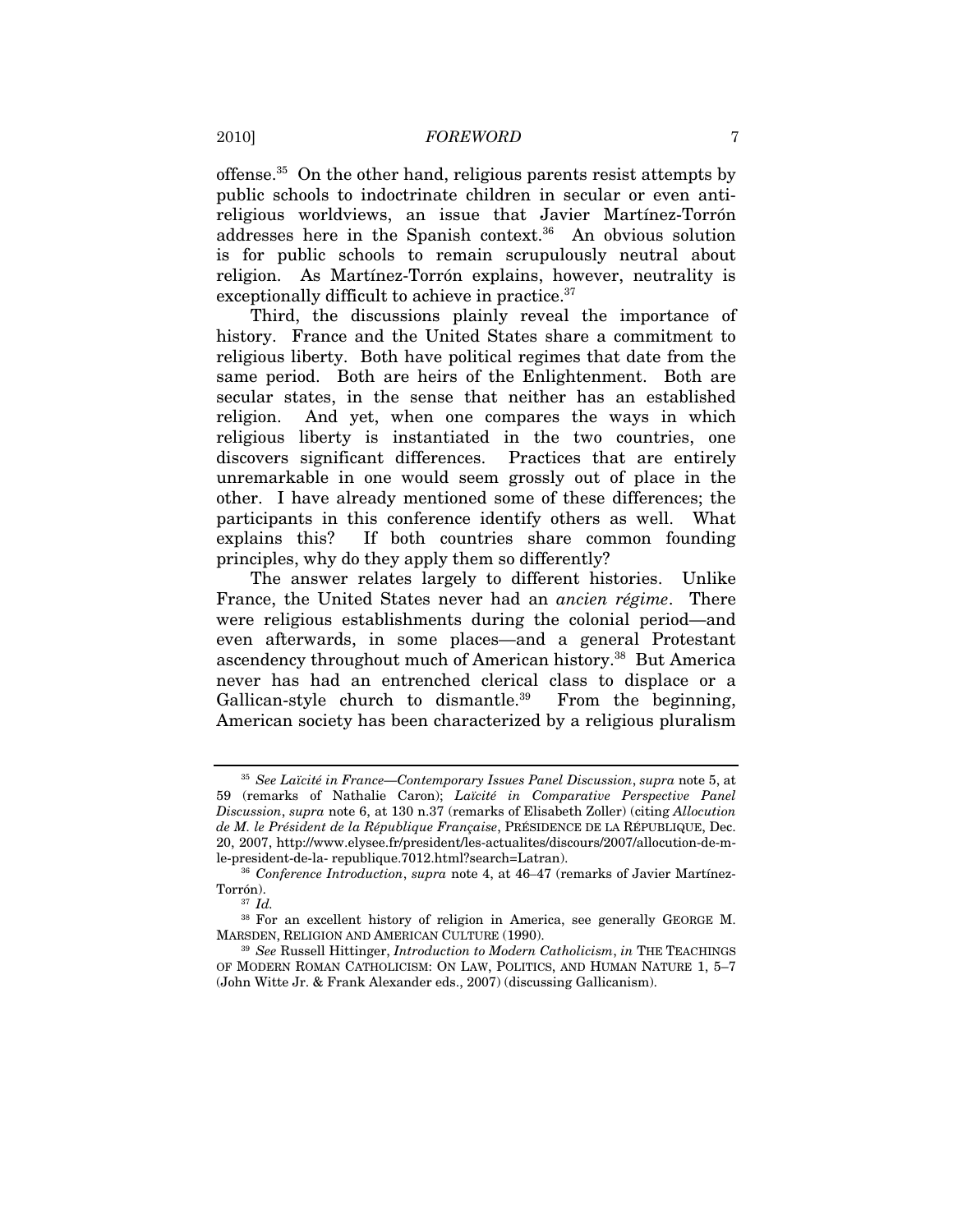offense.<sup>35</sup> On the other hand, religious parents resist attempts by public schools to indoctrinate children in secular or even antireligious worldviews, an issue that Javier Martínez-Torrón addresses here in the Spanish context.<sup>36</sup> An obvious solution is for public schools to remain scrupulously neutral about religion. As Martínez-Torrón explains, however, neutrality is exceptionally difficult to achieve in practice.<sup>37</sup>

Third, the discussions plainly reveal the importance of history. France and the United States share a commitment to religious liberty. Both have political regimes that date from the same period. Both are heirs of the Enlightenment. Both are secular states, in the sense that neither has an established religion. And yet, when one compares the ways in which religious liberty is instantiated in the two countries, one discovers significant differences. Practices that are entirely unremarkable in one would seem grossly out of place in the other. I have already mentioned some of these differences; the participants in this conference identify others as well. What explains this? If both countries share common founding principles, why do they apply them so differently?

The answer relates largely to different histories. Unlike France, the United States never had an *ancien régime*. There were religious establishments during the colonial period—and even afterwards, in some places—and a general Protestant ascendency throughout much of American history.<sup>38</sup> But America never has had an entrenched clerical class to displace or a Gallican-style church to dismantle.<sup>39</sup> From the beginning, American society has been characterized by a religious pluralism

<sup>35</sup> *See Laïcité in France—Contemporary Issues Panel Discussion*, *supra* note 5, at 59 (remarks of Nathalie Caron); *Laïcité in Comparative Perspective Panel Discussion*, *supra* note 6, at 130 n.37 (remarks of Elisabeth Zoller) (citing *Allocution de M. le Président de la République Française*, PRÉSIDENCE DE LA RÉPUBLIQUE, Dec. 20, 2007, http://www.elysee.fr/president/les-actualites/discours/2007/allocution-de-mle-president-de-la- republique.7012.html?search=Latran). 36 *Conference Introduction*, *supra* note 4, at 46–47 (remarks of Javier Martínez-

Torrón).<br><sup>37</sup> *Id.* 

<sup>38</sup> For an excellent history of religion in America, see generally GEORGE M. MARSDEN, RELIGION AND AMERICAN CULTURE (1990). 39 *See* Russell Hittinger, *Introduction to Modern Catholicism*, *in* THE TEACHINGS

OF MODERN ROMAN CATHOLICISM: ON LAW, POLITICS, AND HUMAN NATURE 1, 5–7 (John Witte Jr. & Frank Alexander eds., 2007) (discussing Gallicanism).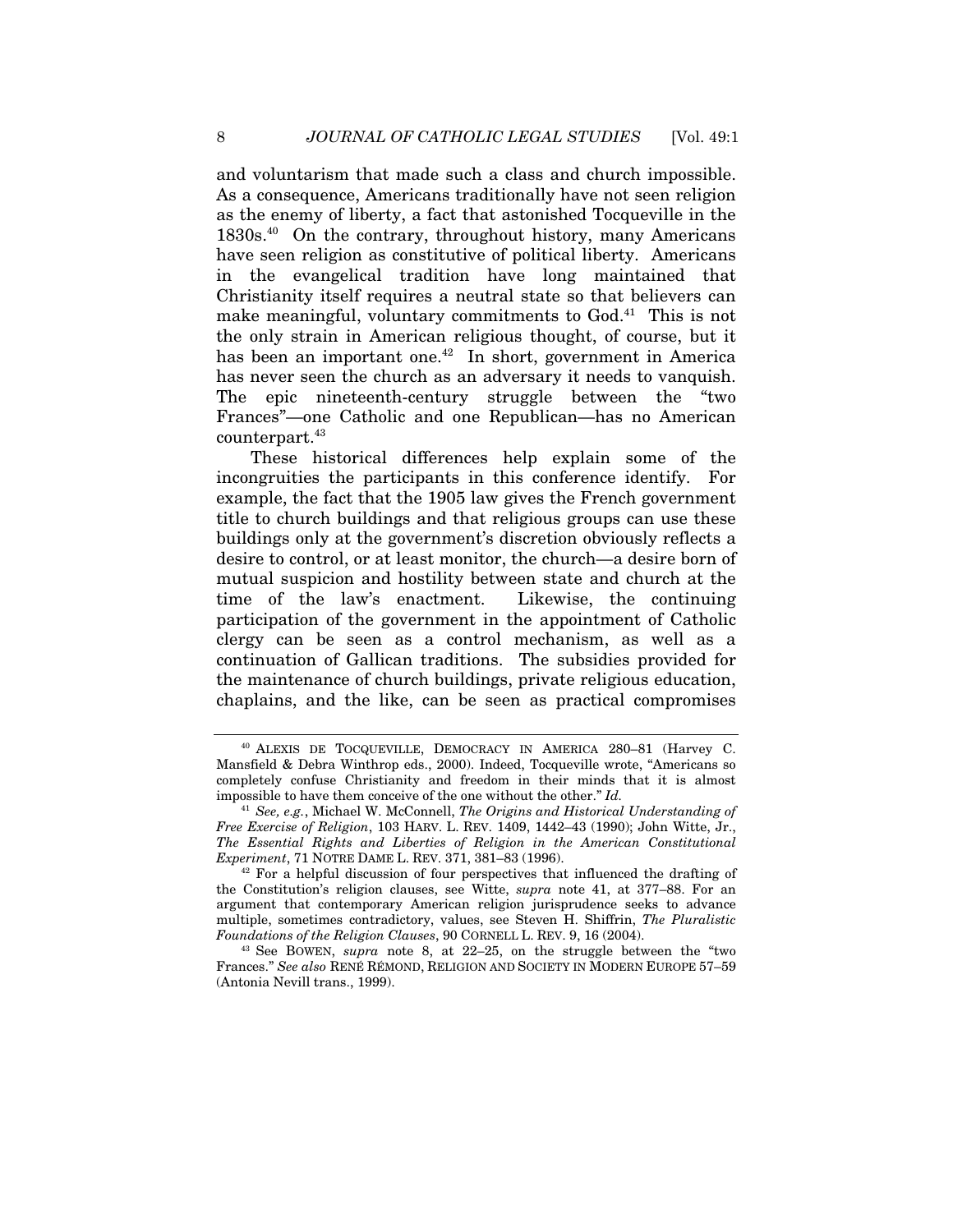and voluntarism that made such a class and church impossible. As a consequence, Americans traditionally have not seen religion as the enemy of liberty, a fact that astonished Tocqueville in the 1830s.40 On the contrary, throughout history, many Americans have seen religion as constitutive of political liberty. Americans in the evangelical tradition have long maintained that Christianity itself requires a neutral state so that believers can make meaningful, voluntary commitments to God.<sup>41</sup> This is not the only strain in American religious thought, of course, but it has been an important one.<sup>42</sup> In short, government in America has never seen the church as an adversary it needs to vanquish. The epic nineteenth-century struggle between the "two Frances"—one Catholic and one Republican—has no American counterpart.<sup>43</sup>

These historical differences help explain some of the incongruities the participants in this conference identify. For example, the fact that the 1905 law gives the French government title to church buildings and that religious groups can use these buildings only at the government's discretion obviously reflects a desire to control, or at least monitor, the church—a desire born of mutual suspicion and hostility between state and church at the time of the law's enactment. Likewise, the continuing participation of the government in the appointment of Catholic clergy can be seen as a control mechanism, as well as a continuation of Gallican traditions. The subsidies provided for the maintenance of church buildings, private religious education, chaplains, and the like, can be seen as practical compromises

<sup>40</sup> ALEXIS DE TOCQUEVILLE, DEMOCRACY IN AMERICA 280–81 (Harvey C. Mansfield & Debra Winthrop eds., 2000). Indeed, Tocqueville wrote, "Americans so completely confuse Christianity and freedom in their minds that it is almost impossible to have them conceive of the one without the other." *Id.* 

<sup>41</sup> *See, e.g.*, Michael W. McConnell, *The Origins and Historical Understanding of Free Exercise of Religion*, 103 HARV. L. REV. 1409, 1442–43 (1990); John Witte, Jr., *The Essential Rights and Liberties of Religion in the American Constitutional Experiment*, 71 NOTRE DAME L. REV. 371, 381–83 (1996).<br><sup>42</sup> For a helpful discussion of four perspectives that influenced the drafting of

the Constitution's religion clauses, see Witte, *supra* note 41, at 377–88. For an argument that contemporary American religion jurisprudence seeks to advance multiple, sometimes contradictory, values, see Steven H. Shiffrin, *The Pluralistic Foundations of the Religion Clauses*, 90 CORNELL L. REV. 9, 16 (2004). 43 See BOWEN, *supra* note 8, at 22–25, on the struggle between the "two

Frances." *See also* RENÉ RÉMOND, RELIGION AND SOCIETY IN MODERN EUROPE 57–59 (Antonia Nevill trans., 1999).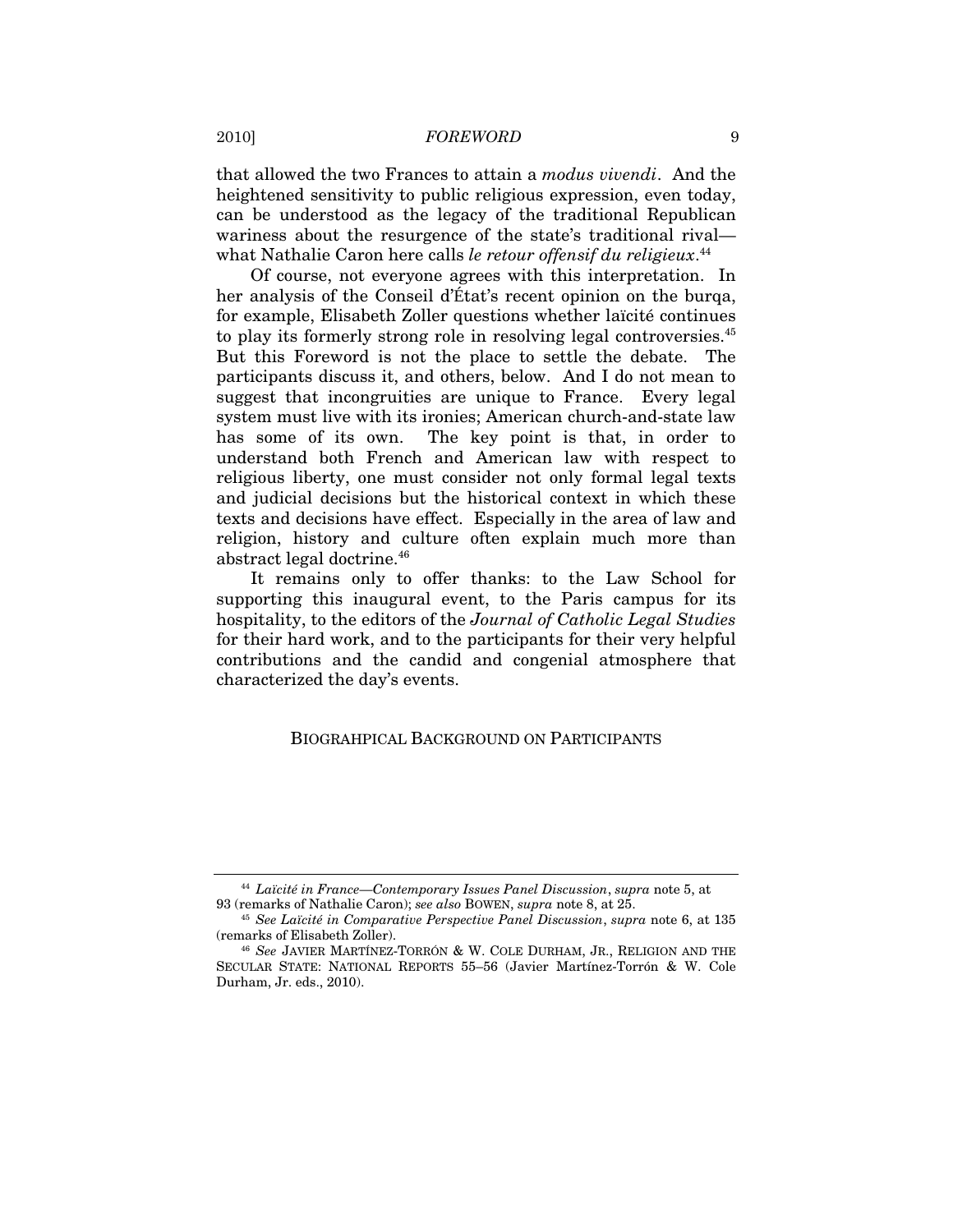that allowed the two Frances to attain a *modus vivendi*. And the heightened sensitivity to public religious expression, even today, can be understood as the legacy of the traditional Republican wariness about the resurgence of the state's traditional rival what Nathalie Caron here calls *le retour offensif du religieux*. 44

Of course, not everyone agrees with this interpretation. In her analysis of the Conseil d'État's recent opinion on the burqa, for example, Elisabeth Zoller questions whether laïcité continues to play its formerly strong role in resolving legal controversies.<sup>45</sup> But this Foreword is not the place to settle the debate. The participants discuss it, and others, below. And I do not mean to suggest that incongruities are unique to France. Every legal system must live with its ironies; American church-and-state law has some of its own. The key point is that, in order to understand both French and American law with respect to religious liberty, one must consider not only formal legal texts and judicial decisions but the historical context in which these texts and decisions have effect. Especially in the area of law and religion, history and culture often explain much more than abstract legal doctrine.46

It remains only to offer thanks: to the Law School for supporting this inaugural event, to the Paris campus for its hospitality, to the editors of the *Journal of Catholic Legal Studies* for their hard work, and to the participants for their very helpful contributions and the candid and congenial atmosphere that characterized the day's events.

# BIOGRAHPICAL BACKGROUND ON PARTICIPANTS

<sup>44</sup> *Laïcité in France—Contemporary Issues Panel Discussion*, *supra* note 5, at 93 (remarks of Nathalie Caron); *see also* BOWEN, *supra* note 8, at 25. 45 *See Laïcité in Comparative Perspective Panel Discussion*, *supra* note 6, at 135

<sup>(</sup>remarks of Elisabeth Zoller). 46 *See* JAVIER MARTÍNEZ-TORRÓN & W. COLE DURHAM, JR., RELIGION AND THE

SECULAR STATE: NATIONAL REPORTS 55–56 (Javier Martínez-Torrón & W. Cole Durham, Jr. eds., 2010).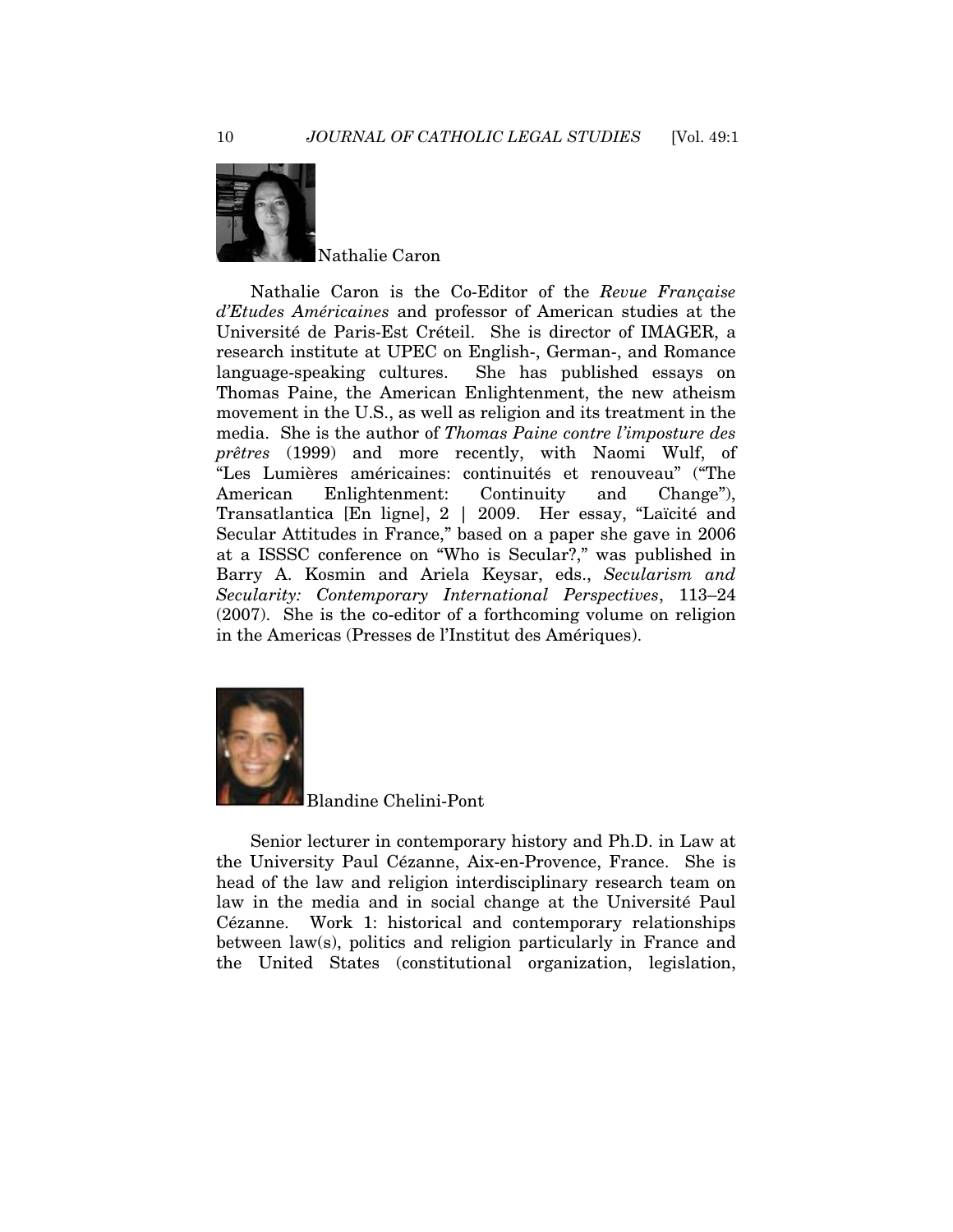

Nathalie Caron is the Co-Editor of the *Revue Française d'Etudes Américaines* and professor of American studies at the Université de Paris-Est Créteil. She is director of IMAGER, a research institute at UPEC on English-, German-, and Romance language-speaking cultures. She has published essays on Thomas Paine, the American Enlightenment, the new atheism movement in the U.S., as well as religion and its treatment in the media. She is the author of *Thomas Paine contre l'imposture des prêtres* (1999) and more recently, with Naomi Wulf, of "Les Lumières américaines: continuités et renouveau" ("The American Enlightenment: Continuity and Change"), Transatlantica [En ligne], 2 | 2009. Her essay, "Laïcité and Secular Attitudes in France," based on a paper she gave in 2006 at a ISSSC conference on "Who is Secular?," was published in Barry A. Kosmin and Ariela Keysar, eds., *Secularism and Secularity: Contemporary International Perspectives*, 113–24 (2007). She is the co-editor of a forthcoming volume on religion in the Americas (Presses de l'Institut des Amériques).



Blandine Chelini-Pont

Senior lecturer in contemporary history and Ph.D. in Law at the University Paul Cézanne, Aix-en-Provence, France. She is head of the law and religion interdisciplinary research team on law in the media and in social change at the Université Paul Cézanne. Work 1: historical and contemporary relationships between law(s), politics and religion particularly in France and the United States (constitutional organization, legislation,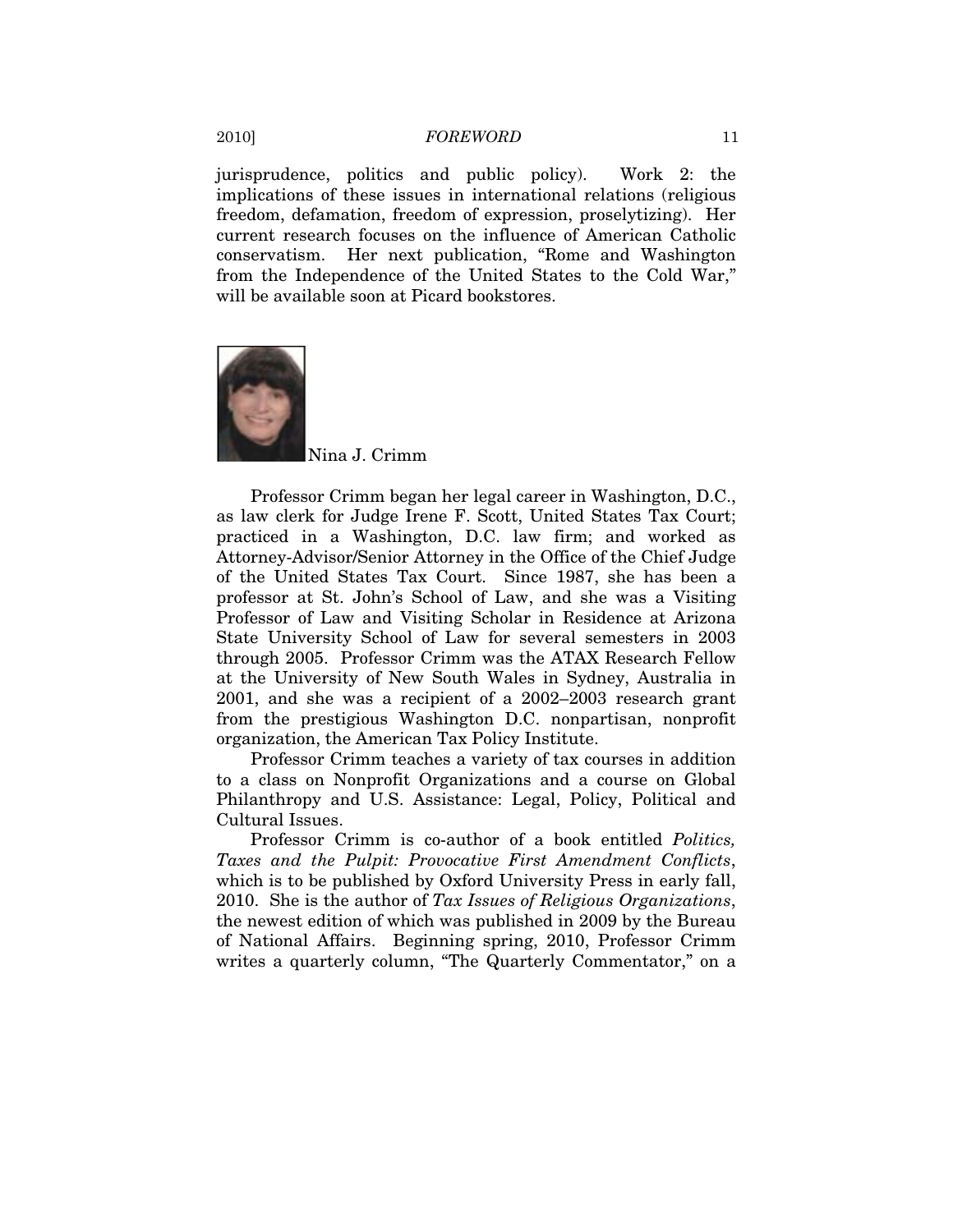jurisprudence, politics and public policy). Work 2: the implications of these issues in international relations (religious freedom, defamation, freedom of expression, proselytizing). Her current research focuses on the influence of American Catholic conservatism. Her next publication, "Rome and Washington from the Independence of the United States to the Cold War," will be available soon at Picard bookstores.



Nina J. Crimm

Professor Crimm began her legal career in Washington, D.C., as law clerk for Judge Irene F. Scott, United States Tax Court; practiced in a Washington, D.C. law firm; and worked as Attorney-Advisor/Senior Attorney in the Office of the Chief Judge of the United States Tax Court. Since 1987, she has been a professor at St. John's School of Law, and she was a Visiting Professor of Law and Visiting Scholar in Residence at Arizona State University School of Law for several semesters in 2003 through 2005. Professor Crimm was the ATAX Research Fellow at the University of New South Wales in Sydney, Australia in 2001, and she was a recipient of a 2002–2003 research grant from the prestigious Washington D.C. nonpartisan, nonprofit organization, the American Tax Policy Institute.

Professor Crimm teaches a variety of tax courses in addition to a class on Nonprofit Organizations and a course on Global Philanthropy and U.S. Assistance: Legal, Policy, Political and Cultural Issues.

Professor Crimm is co-author of a book entitled *Politics, Taxes and the Pulpit: Provocative First Amendment Conflicts*, which is to be published by Oxford University Press in early fall, 2010. She is the author of *Tax Issues of Religious Organizations*, the newest edition of which was published in 2009 by the Bureau of National Affairs. Beginning spring, 2010, Professor Crimm writes a quarterly column, "The Quarterly Commentator," on a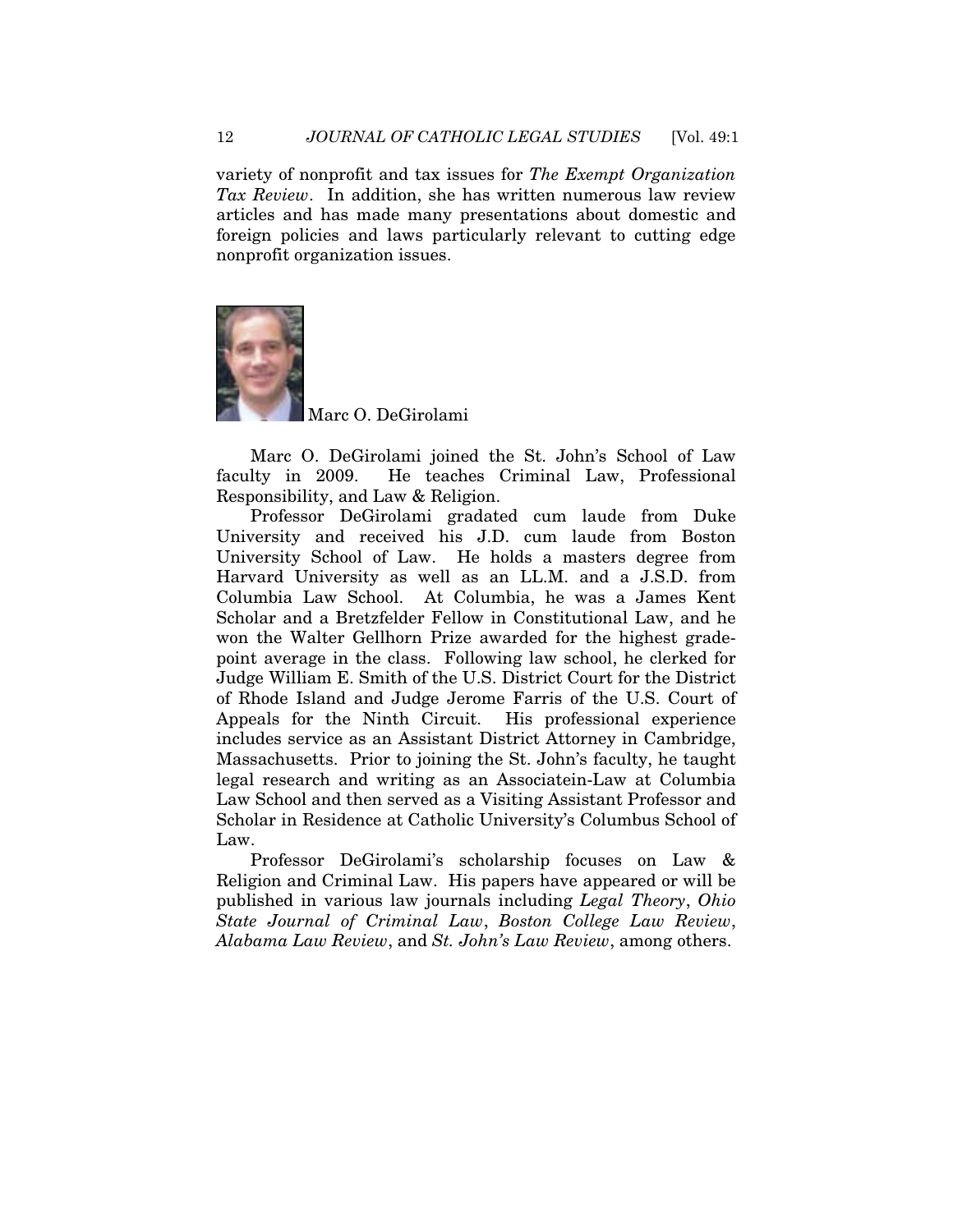variety of nonprofit and tax issues for *The Exempt Organization Tax Review*. In addition, she has written numerous law review articles and has made many presentations about domestic and foreign policies and laws particularly relevant to cutting edge nonprofit organization issues.



Marc O. DeGirolami

Marc O. DeGirolami joined the St. John's School of Law faculty in 2009. He teaches Criminal Law, Professional Responsibility, and Law & Religion.

Professor DeGirolami gradated cum laude from Duke University and received his J.D. cum laude from Boston University School of Law. He holds a masters degree from Harvard University as well as an LL.M. and a J.S.D. from Columbia Law School. At Columbia, he was a James Kent Scholar and a Bretzfelder Fellow in Constitutional Law, and he won the Walter Gellhorn Prize awarded for the highest gradepoint average in the class. Following law school, he clerked for Judge William E. Smith of the U.S. District Court for the District of Rhode Island and Judge Jerome Farris of the U.S. Court of Appeals for the Ninth Circuit. His professional experience includes service as an Assistant District Attorney in Cambridge, Massachusetts. Prior to joining the St. John's faculty, he taught legal research and writing as an Associatein-Law at Columbia Law School and then served as a Visiting Assistant Professor and Scholar in Residence at Catholic University's Columbus School of Law.

Professor DeGirolami's scholarship focuses on Law & Religion and Criminal Law. His papers have appeared or will be published in various law journals including *Legal Theory*, *Ohio State Journal of Criminal Law*, *Boston College Law Review*, *Alabama Law Review*, and *St. John's Law Review*, among others.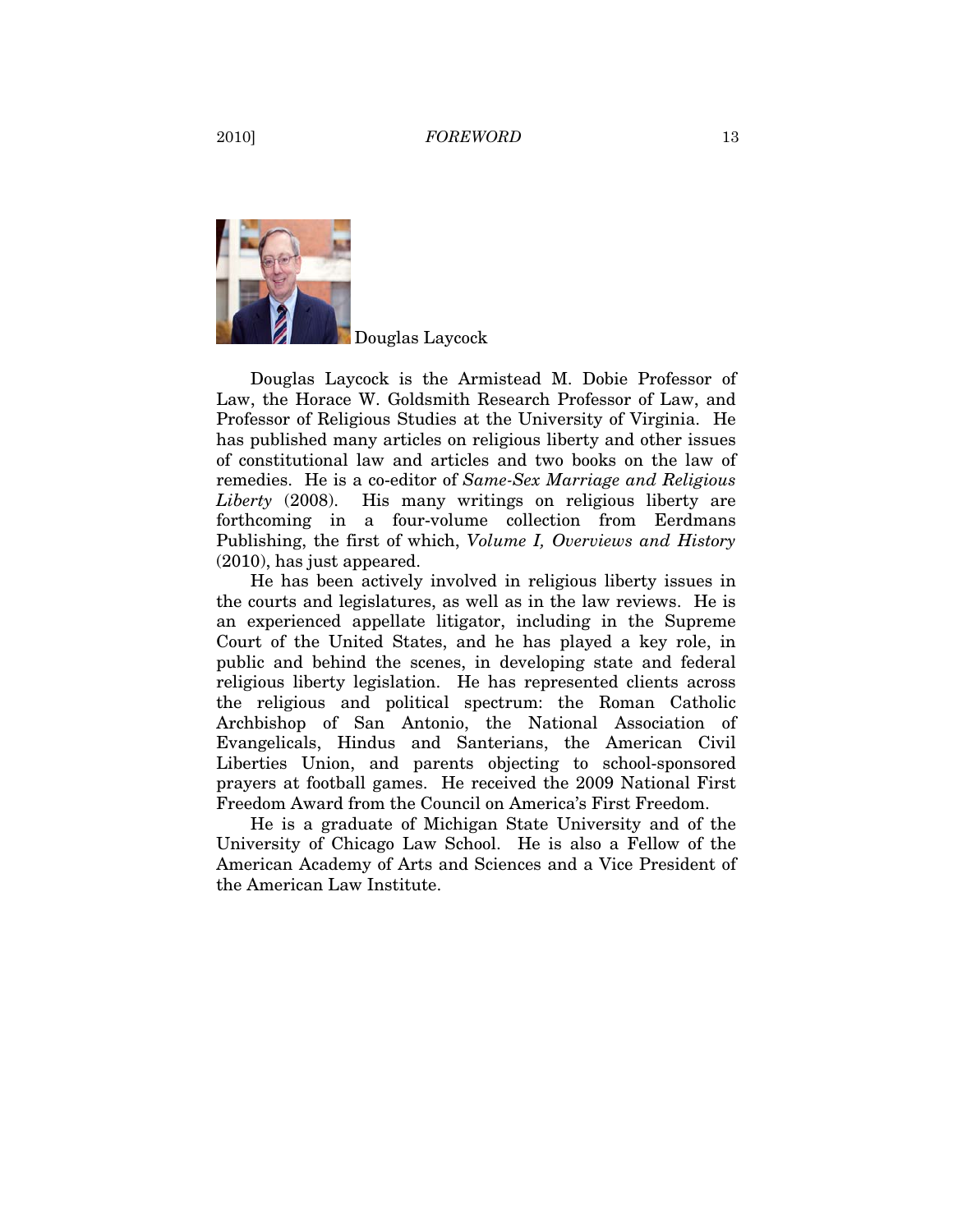Douglas Laycock

Douglas Laycock is the Armistead M. Dobie Professor of Law, the Horace W. Goldsmith Research Professor of Law, and Professor of Religious Studies at the University of Virginia. He has published many articles on religious liberty and other issues of constitutional law and articles and two books on the law of remedies. He is a co-editor of *Same-Sex Marriage and Religious Liberty* (2008). His many writings on religious liberty are forthcoming in a four-volume collection from Eerdmans Publishing, the first of which, *Volume I, Overviews and History* (2010), has just appeared.

He has been actively involved in religious liberty issues in the courts and legislatures, as well as in the law reviews. He is an experienced appellate litigator, including in the Supreme Court of the United States, and he has played a key role, in public and behind the scenes, in developing state and federal religious liberty legislation. He has represented clients across the religious and political spectrum: the Roman Catholic Archbishop of San Antonio, the National Association of Evangelicals, Hindus and Santerians, the American Civil Liberties Union, and parents objecting to school-sponsored prayers at football games. He received the 2009 National First Freedom Award from the Council on America's First Freedom.

He is a graduate of Michigan State University and of the University of Chicago Law School. He is also a Fellow of the American Academy of Arts and Sciences and a Vice President of the American Law Institute.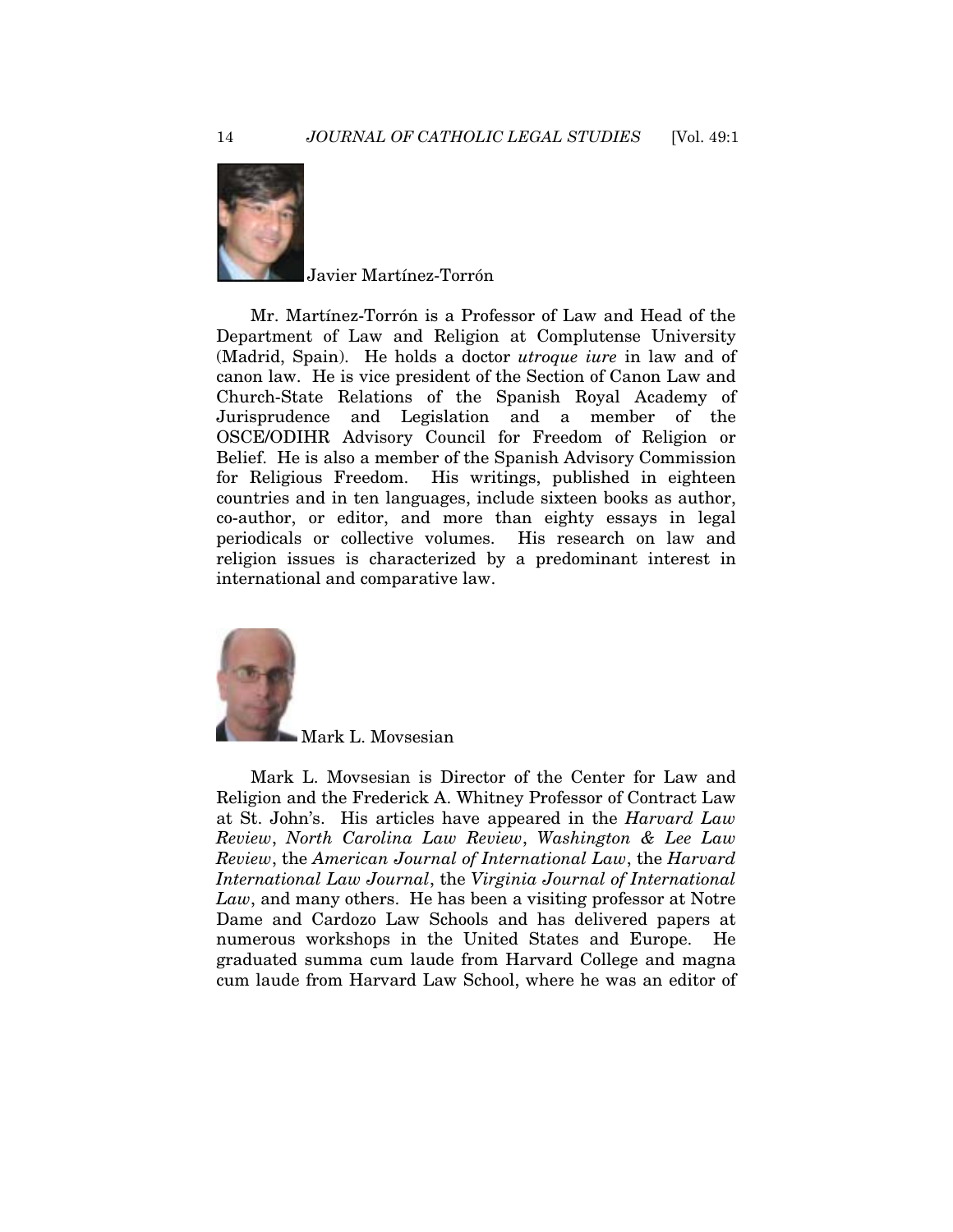

Javier Martínez-Torrón

Mr. Martínez-Torrón is a Professor of Law and Head of the Department of Law and Religion at Complutense University (Madrid, Spain). He holds a doctor *utroque iure* in law and of canon law. He is vice president of the Section of Canon Law and Church-State Relations of the Spanish Royal Academy of Jurisprudence and Legislation and a member of the OSCE/ODIHR Advisory Council for Freedom of Religion or Belief. He is also a member of the Spanish Advisory Commission for Religious Freedom. His writings, published in eighteen countries and in ten languages, include sixteen books as author, co-author, or editor, and more than eighty essays in legal periodicals or collective volumes. His research on law and religion issues is characterized by a predominant interest in international and comparative law.



Mark L. Movsesian is Director of the Center for Law and Religion and the Frederick A. Whitney Professor of Contract Law at St. John's. His articles have appeared in the *Harvard Law Review*, *North Carolina Law Review*, *Washington & Lee Law Review*, the *American Journal of International Law*, the *Harvard International Law Journal*, the *Virginia Journal of International Law*, and many others. He has been a visiting professor at Notre Dame and Cardozo Law Schools and has delivered papers at numerous workshops in the United States and Europe. He graduated summa cum laude from Harvard College and magna cum laude from Harvard Law School, where he was an editor of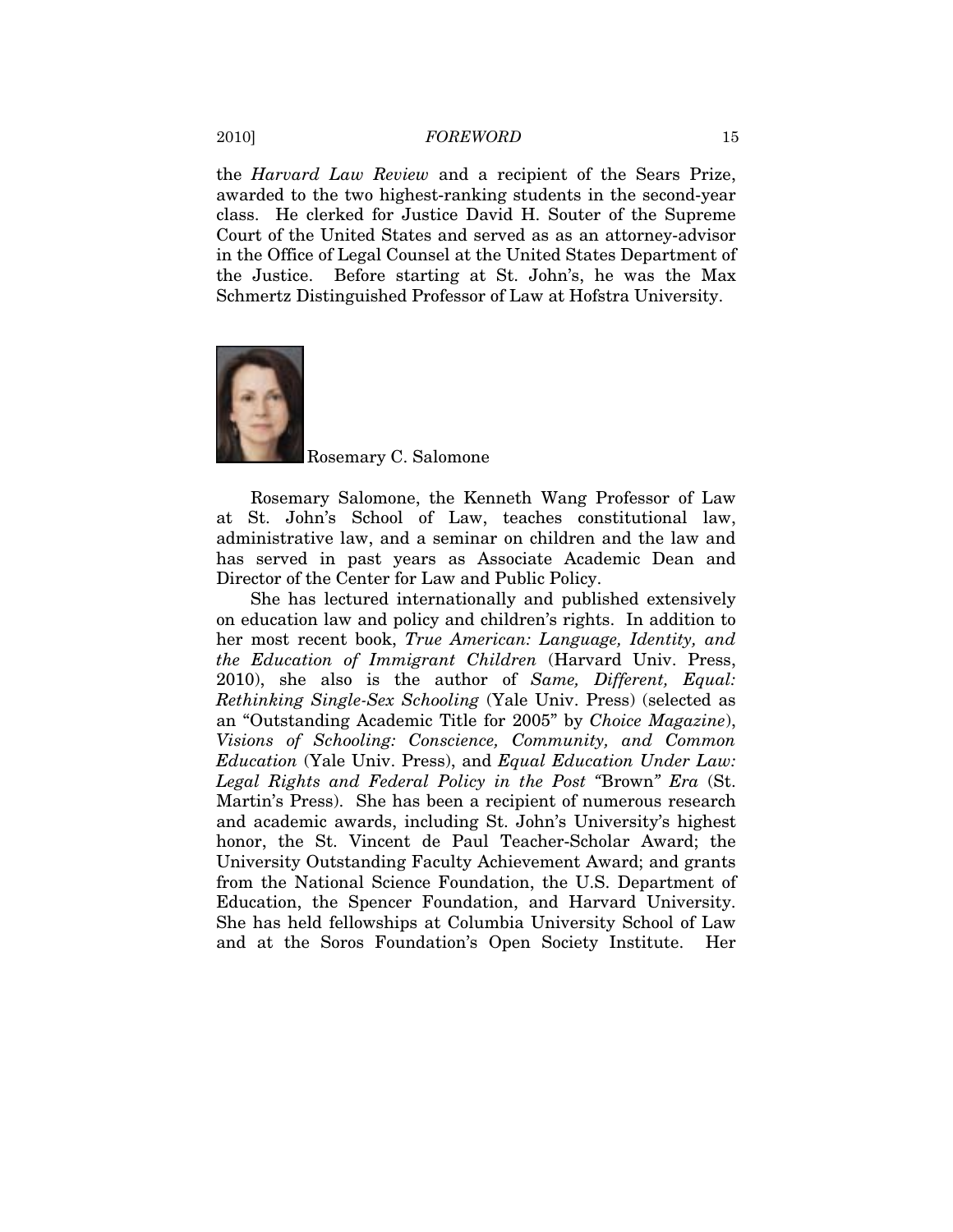the *Harvard Law Review* and a recipient of the Sears Prize, awarded to the two highest-ranking students in the second-year class. He clerked for Justice David H. Souter of the Supreme Court of the United States and served as as an attorney-advisor in the Office of Legal Counsel at the United States Department of the Justice. Before starting at St. John's, he was the Max Schmertz Distinguished Professor of Law at Hofstra University.



# Rosemary C. Salomone

Rosemary Salomone, the Kenneth Wang Professor of Law at St. John's School of Law, teaches constitutional law, administrative law, and a seminar on children and the law and has served in past years as Associate Academic Dean and Director of the Center for Law and Public Policy.

She has lectured internationally and published extensively on education law and policy and children's rights. In addition to her most recent book, *True American: Language, Identity, and the Education of Immigrant Children* (Harvard Univ. Press, 2010), she also is the author of *Same, Different, Equal: Rethinking Single-Sex Schooling* (Yale Univ. Press) (selected as an "Outstanding Academic Title for 2005" by *Choice Magazine*), *Visions of Schooling: Conscience, Community, and Common Education* (Yale Univ. Press), and *Equal Education Under Law: Legal Rights and Federal Policy in the Post "*Brown*" Era* (St. Martin's Press). She has been a recipient of numerous research and academic awards, including St. John's University's highest honor, the St. Vincent de Paul Teacher-Scholar Award; the University Outstanding Faculty Achievement Award; and grants from the National Science Foundation, the U.S. Department of Education, the Spencer Foundation, and Harvard University. She has held fellowships at Columbia University School of Law and at the Soros Foundation's Open Society Institute. Her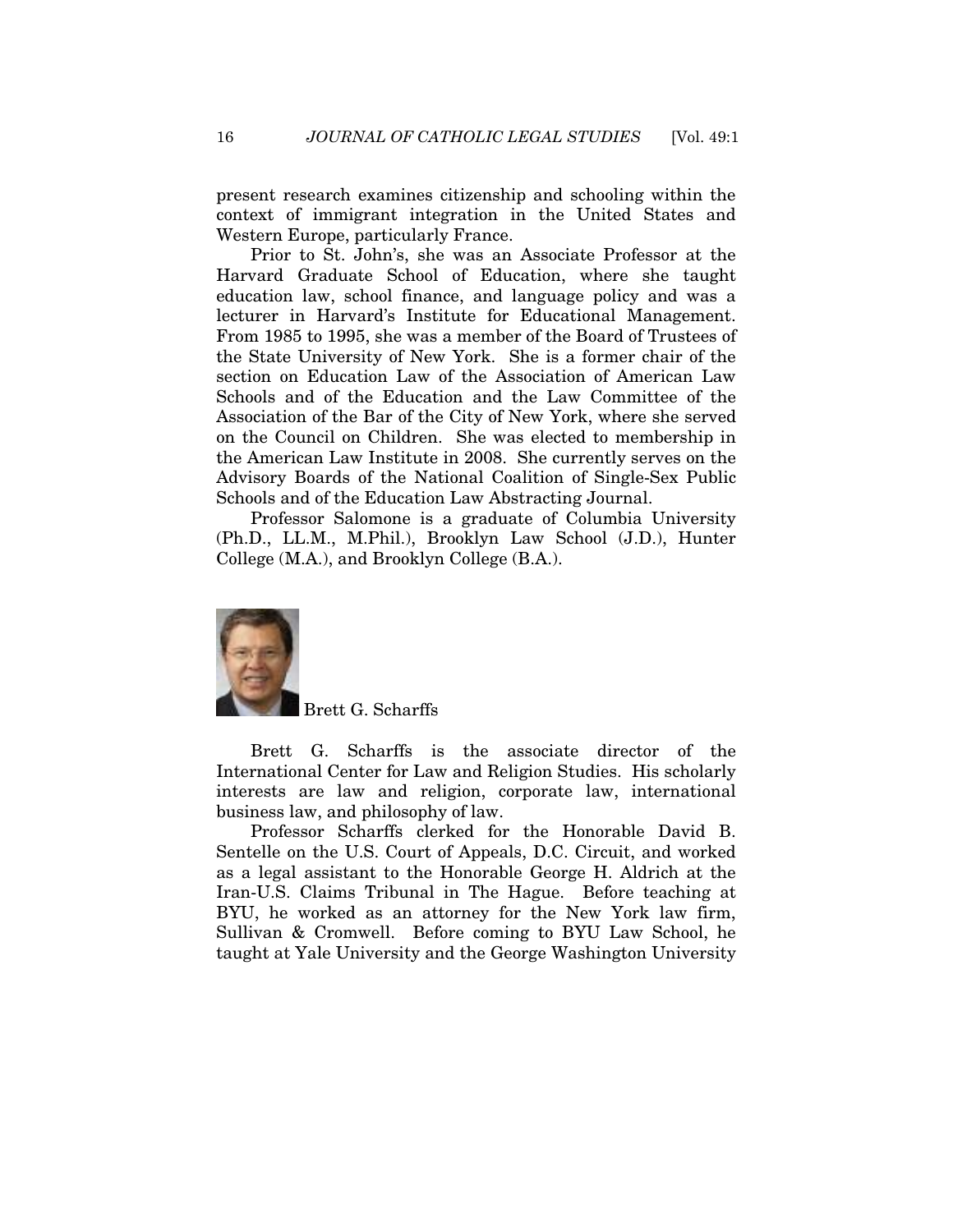present research examines citizenship and schooling within the context of immigrant integration in the United States and Western Europe, particularly France.

Prior to St. John's, she was an Associate Professor at the Harvard Graduate School of Education, where she taught education law, school finance, and language policy and was a lecturer in Harvard's Institute for Educational Management. From 1985 to 1995, she was a member of the Board of Trustees of the State University of New York. She is a former chair of the section on Education Law of the Association of American Law Schools and of the Education and the Law Committee of the Association of the Bar of the City of New York, where she served on the Council on Children. She was elected to membership in the American Law Institute in 2008. She currently serves on the Advisory Boards of the National Coalition of Single-Sex Public Schools and of the Education Law Abstracting Journal.

Professor Salomone is a graduate of Columbia University (Ph.D., LL.M., M.Phil.), Brooklyn Law School (J.D.), Hunter College (M.A.), and Brooklyn College (B.A.).



Brett G. Scharffs

Brett G. Scharffs is the associate director of the International Center for Law and Religion Studies. His scholarly interests are law and religion, corporate law, international business law, and philosophy of law.

Professor Scharffs clerked for the Honorable David B. Sentelle on the U.S. Court of Appeals, D.C. Circuit, and worked as a legal assistant to the Honorable George H. Aldrich at the Iran-U.S. Claims Tribunal in The Hague. Before teaching at BYU, he worked as an attorney for the New York law firm, Sullivan & Cromwell. Before coming to BYU Law School, he taught at Yale University and the George Washington University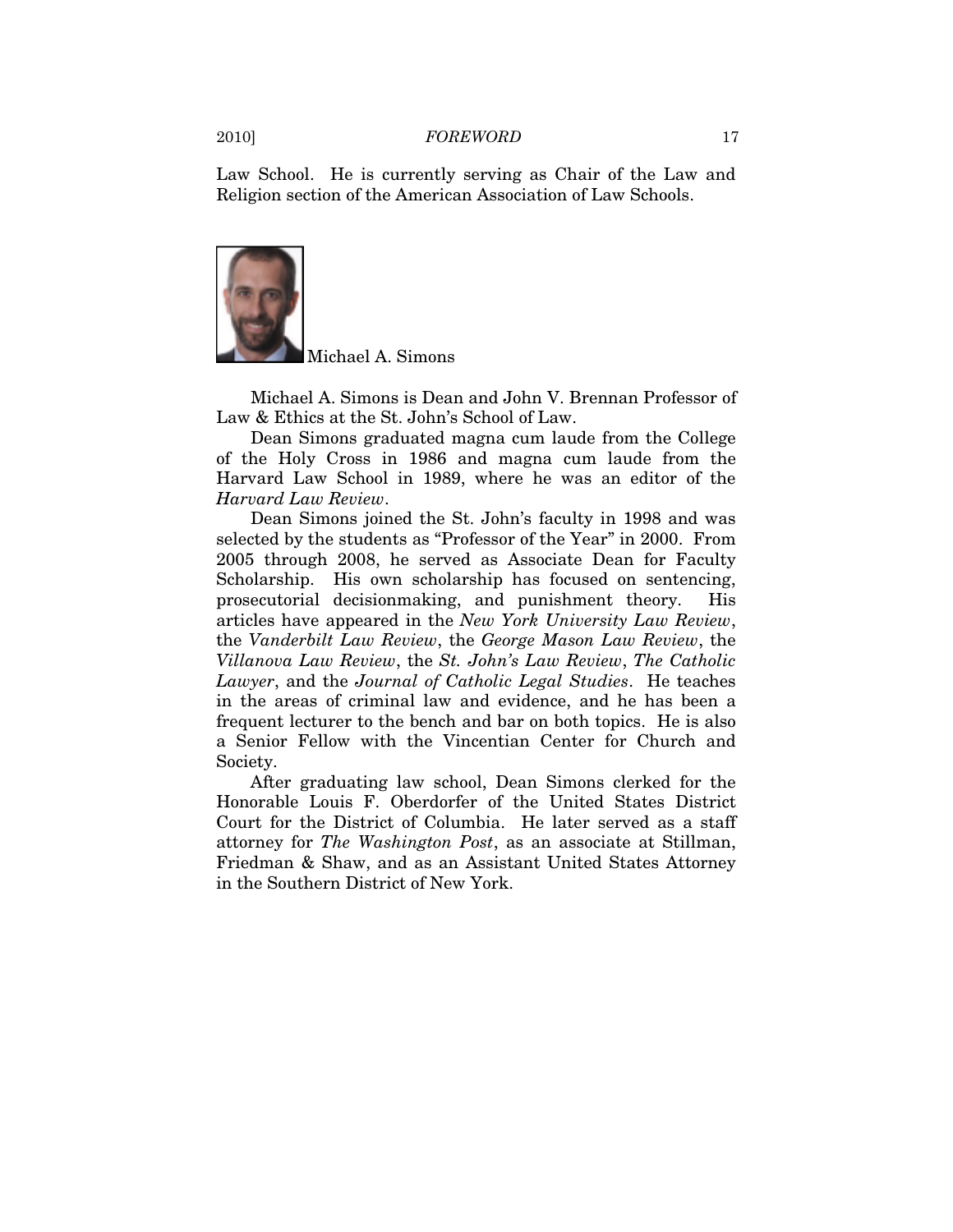Law School. He is currently serving as Chair of the Law and Religion section of the American Association of Law Schools.



Michael A. Simons

Michael A. Simons is Dean and John V. Brennan Professor of Law & Ethics at the St. John's School of Law.

Dean Simons graduated magna cum laude from the College of the Holy Cross in 1986 and magna cum laude from the Harvard Law School in 1989, where he was an editor of the *Harvard Law Review*.

Dean Simons joined the St. John's faculty in 1998 and was selected by the students as "Professor of the Year" in 2000. From 2005 through 2008, he served as Associate Dean for Faculty Scholarship. His own scholarship has focused on sentencing, prosecutorial decisionmaking, and punishment theory. His articles have appeared in the *New York University Law Review*, the *Vanderbilt Law Review*, the *George Mason Law Review*, the *Villanova Law Review*, the *St. John's Law Review*, *The Catholic Lawyer*, and the *Journal of Catholic Legal Studies*. He teaches in the areas of criminal law and evidence, and he has been a frequent lecturer to the bench and bar on both topics. He is also a Senior Fellow with the Vincentian Center for Church and Society.

After graduating law school, Dean Simons clerked for the Honorable Louis F. Oberdorfer of the United States District Court for the District of Columbia. He later served as a staff attorney for *The Washington Post*, as an associate at Stillman, Friedman & Shaw, and as an Assistant United States Attorney in the Southern District of New York.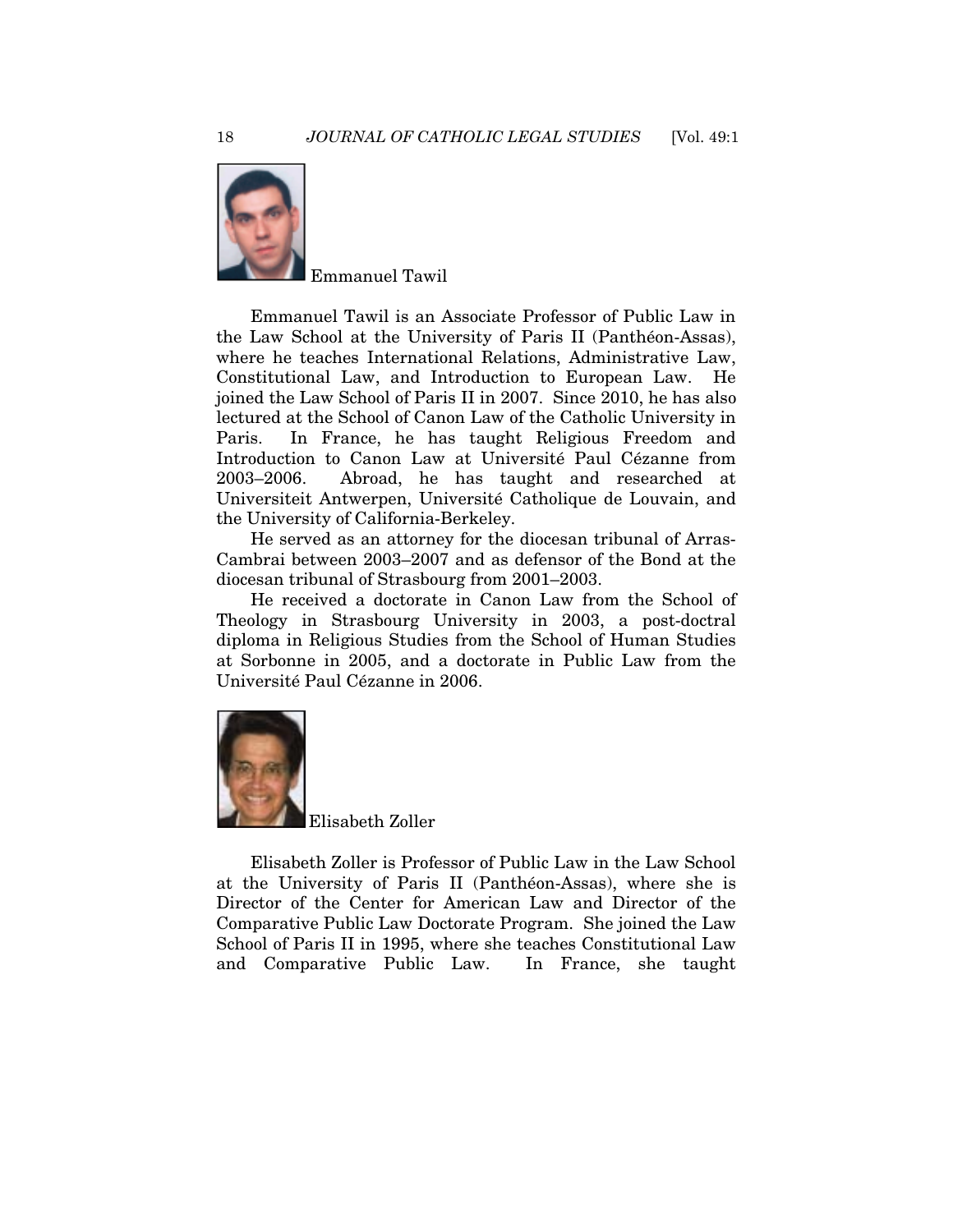

Emmanuel Tawil

Emmanuel Tawil is an Associate Professor of Public Law in the Law School at the University of Paris II (Panthéon-Assas), where he teaches International Relations, Administrative Law, Constitutional Law, and Introduction to European Law. He joined the Law School of Paris II in 2007. Since 2010, he has also lectured at the School of Canon Law of the Catholic University in Paris. In France, he has taught Religious Freedom and Introduction to Canon Law at Université Paul Cézanne from 2003–2006. Abroad, he has taught and researched at Universiteit Antwerpen, Université Catholique de Louvain, and the University of California-Berkeley.

He served as an attorney for the diocesan tribunal of Arras-Cambrai between 2003–2007 and as defensor of the Bond at the diocesan tribunal of Strasbourg from 2001–2003.

He received a doctorate in Canon Law from the School of Theology in Strasbourg University in 2003, a post-doctral diploma in Religious Studies from the School of Human Studies at Sorbonne in 2005, and a doctorate in Public Law from the Université Paul Cézanne in 2006.



Elisabeth Zoller is Professor of Public Law in the Law School at the University of Paris II (Panthéon-Assas), where she is Director of the Center for American Law and Director of the Comparative Public Law Doctorate Program. She joined the Law School of Paris II in 1995, where she teaches Constitutional Law and Comparative Public Law. In France, she taught